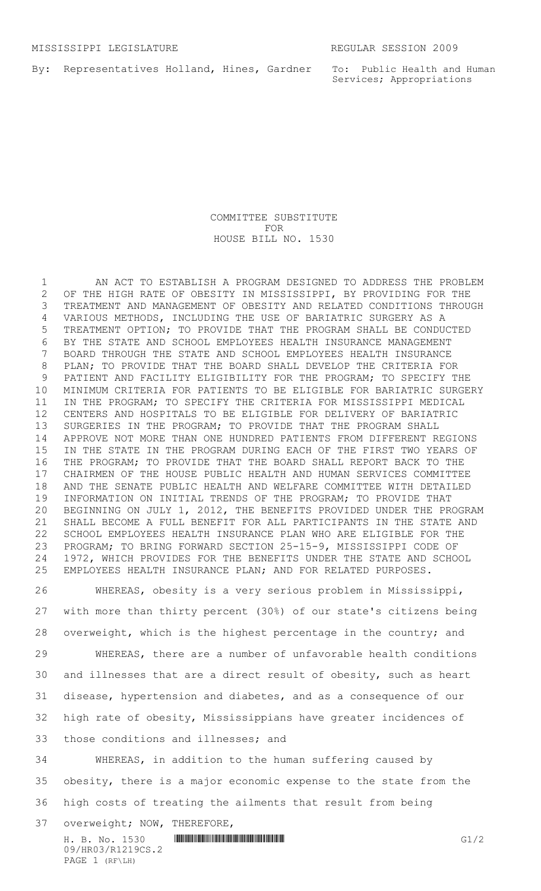By: Representatives Holland, Hines, Gardner

To: Public Health and Human Services; Appropriations

COMMITTEE SUBSTITUTE FOR HOUSE BILL NO. 1530

 AN ACT TO ESTABLISH A PROGRAM DESIGNED TO ADDRESS THE PROBLEM OF THE HIGH RATE OF OBESITY IN MISSISSIPPI, BY PROVIDING FOR THE TREATMENT AND MANAGEMENT OF OBESITY AND RELATED CONDITIONS THROUGH VARIOUS METHODS, INCLUDING THE USE OF BARIATRIC SURGERY AS A TREATMENT OPTION; TO PROVIDE THAT THE PROGRAM SHALL BE CONDUCTED BY THE STATE AND SCHOOL EMPLOYEES HEALTH INSURANCE MANAGEMENT BOARD THROUGH THE STATE AND SCHOOL EMPLOYEES HEALTH INSURANCE PLAN; TO PROVIDE THAT THE BOARD SHALL DEVELOP THE CRITERIA FOR PATIENT AND FACILITY ELIGIBILITY FOR THE PROGRAM; TO SPECIFY THE MINIMUM CRITERIA FOR PATIENTS TO BE ELIGIBLE FOR BARIATRIC SURGERY IN THE PROGRAM; TO SPECIFY THE CRITERIA FOR MISSISSIPPI MEDICAL CENTERS AND HOSPITALS TO BE ELIGIBLE FOR DELIVERY OF BARIATRIC SURGERIES IN THE PROGRAM; TO PROVIDE THAT THE PROGRAM SHALL APPROVE NOT MORE THAN ONE HUNDRED PATIENTS FROM DIFFERENT REGIONS IN THE STATE IN THE PROGRAM DURING EACH OF THE FIRST TWO YEARS OF THE PROGRAM; TO PROVIDE THAT THE BOARD SHALL REPORT BACK TO THE CHAIRMEN OF THE HOUSE PUBLIC HEALTH AND HUMAN SERVICES COMMITTEE AND THE SENATE PUBLIC HEALTH AND WELFARE COMMITTEE WITH DETAILED INFORMATION ON INITIAL TRENDS OF THE PROGRAM; TO PROVIDE THAT BEGINNING ON JULY 1, 2012, THE BENEFITS PROVIDED UNDER THE PROGRAM SHALL BECOME A FULL BENEFIT FOR ALL PARTICIPANTS IN THE STATE AND SCHOOL EMPLOYEES HEALTH INSURANCE PLAN WHO ARE ELIGIBLE FOR THE PROGRAM; TO BRING FORWARD SECTION 25-15-9, MISSISSIPPI CODE OF 1972, WHICH PROVIDES FOR THE BENEFITS UNDER THE STATE AND SCHOOL EMPLOYEES HEALTH INSURANCE PLAN; AND FOR RELATED PURPOSES.

 WHEREAS, obesity is a very serious problem in Mississippi, with more than thirty percent (30%) of our state's citizens being overweight, which is the highest percentage in the country; and WHEREAS, there are a number of unfavorable health conditions and illnesses that are a direct result of obesity, such as heart disease, hypertension and diabetes, and as a consequence of our high rate of obesity, Mississippians have greater incidences of those conditions and illnesses; and WHEREAS, in addition to the human suffering caused by

 obesity, there is a major economic expense to the state from the high costs of treating the ailments that result from being

overweight; NOW, THEREFORE,

 $H. B. NO. 1530$  HROSE HROSE HROSE COMENTIFICATION HEROSETTING COMPUTER COMPUTER COMPUTER COMPUTER COMPUTER COMPUTER COMPUTER COMPUTER COMPUTER COMPUTER COMPUTER COMPUTER COMPUTER COMPUTER COMPUTER COMPUTER COMPUTER COMPUTER 09/HR03/R1219CS.2 PAGE 1 (RF\LH)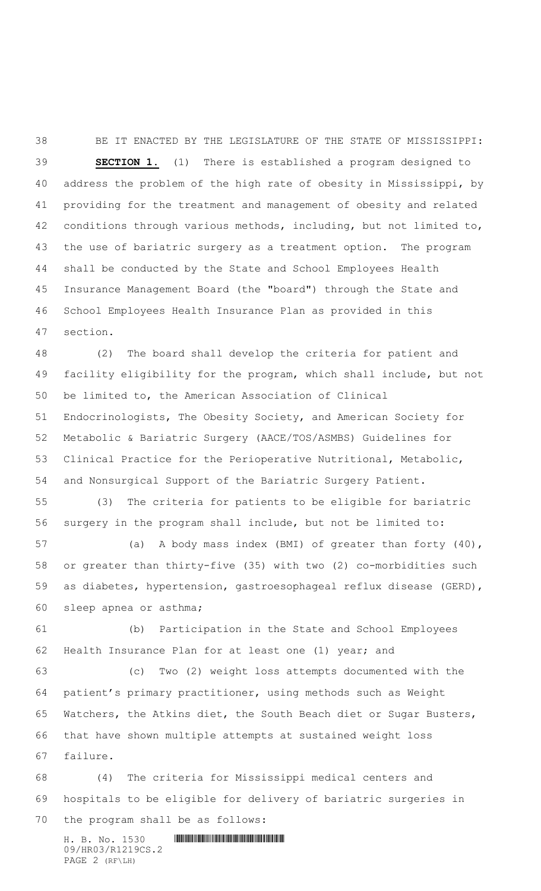BE IT ENACTED BY THE LEGISLATURE OF THE STATE OF MISSISSIPPI: **SECTION 1.** (1) There is established a program designed to address the problem of the high rate of obesity in Mississippi, by providing for the treatment and management of obesity and related conditions through various methods, including, but not limited to, the use of bariatric surgery as a treatment option. The program shall be conducted by the State and School Employees Health Insurance Management Board (the "board") through the State and School Employees Health Insurance Plan as provided in this section.

 (2) The board shall develop the criteria for patient and facility eligibility for the program, which shall include, but not be limited to, the American Association of Clinical Endocrinologists, The Obesity Society, and American Society for Metabolic & Bariatric Surgery (AACE/TOS/ASMBS) Guidelines for Clinical Practice for the Perioperative Nutritional, Metabolic, and Nonsurgical Support of the Bariatric Surgery Patient.

 (3) The criteria for patients to be eligible for bariatric surgery in the program shall include, but not be limited to:

 (a) A body mass index (BMI) of greater than forty (40), or greater than thirty-five (35) with two (2) co-morbidities such as diabetes, hypertension, gastroesophageal reflux disease (GERD), sleep apnea or asthma;

 (b) Participation in the State and School Employees 62 Health Insurance Plan for at least one (1) year; and

 (c) Two (2) weight loss attempts documented with the patient's primary practitioner, using methods such as Weight Watchers, the Atkins diet, the South Beach diet or Sugar Busters, that have shown multiple attempts at sustained weight loss failure.

 (4) The criteria for Mississippi medical centers and hospitals to be eligible for delivery of bariatric surgeries in the program shall be as follows:

H. B. No. 1530 **. HENDER SHELL AND SHELL AND SHELL AND SHELL AND SHELL AND SHELL AND SHELL AND SHELL AND SHELL AND SHELL AND SHELL AND SHELL AND SHELL AND SHELL AND SHELL AND SHELL AND SHELL AND SHELL AND SHELL AND SHELL A** 09/HR03/R1219CS.2 PAGE 2 (RF\LH)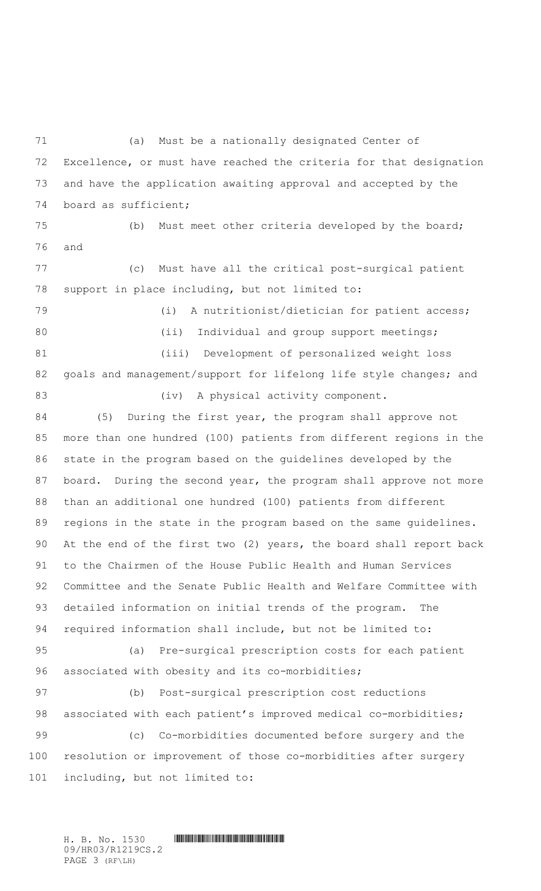(a) Must be a nationally designated Center of Excellence, or must have reached the criteria for that designation and have the application awaiting approval and accepted by the board as sufficient; (b) Must meet other criteria developed by the board; and (c) Must have all the critical post-surgical patient support in place including, but not limited to: (i) A nutritionist/dietician for patient access; 80 (ii) Individual and group support meetings; (iii) Development of personalized weight loss 82 goals and management/support for lifelong life style changes; and 83 (iv) A physical activity component. (5) During the first year, the program shall approve not more than one hundred (100) patients from different regions in the state in the program based on the guidelines developed by the board. During the second year, the program shall approve not more than an additional one hundred (100) patients from different regions in the state in the program based on the same guidelines. At the end of the first two (2) years, the board shall report back to the Chairmen of the House Public Health and Human Services Committee and the Senate Public Health and Welfare Committee with detailed information on initial trends of the program. The required information shall include, but not be limited to: (a) Pre-surgical prescription costs for each patient 96 associated with obesity and its co-morbidities; (b) Post-surgical prescription cost reductions 98 associated with each patient's improved medical co-morbidities; (c) Co-morbidities documented before surgery and the resolution or improvement of those co-morbidities after surgery including, but not limited to:

H. B. No. 1530 \*HR03/R1219CS.2\* 09/HR03/R1219CS.2 PAGE 3 (RF\LH)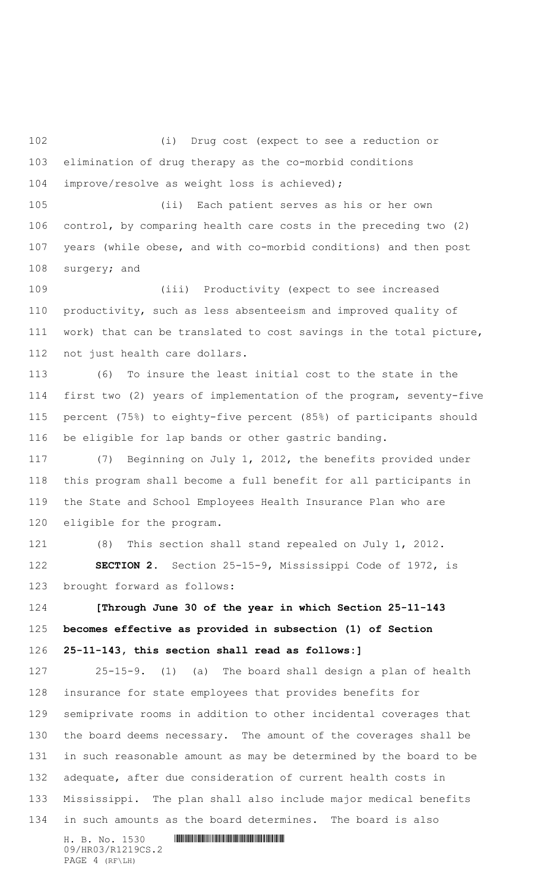(i) Drug cost (expect to see a reduction or elimination of drug therapy as the co-morbid conditions improve/resolve as weight loss is achieved);

 (ii) Each patient serves as his or her own control, by comparing health care costs in the preceding two (2) years (while obese, and with co-morbid conditions) and then post surgery; and

 (iii) Productivity (expect to see increased productivity, such as less absenteeism and improved quality of work) that can be translated to cost savings in the total picture, not just health care dollars.

 (6) To insure the least initial cost to the state in the first two (2) years of implementation of the program, seventy-five percent (75%) to eighty-five percent (85%) of participants should be eligible for lap bands or other gastric banding.

 (7) Beginning on July 1, 2012, the benefits provided under this program shall become a full benefit for all participants in the State and School Employees Health Insurance Plan who are eligible for the program.

 (8) This section shall stand repealed on July 1, 2012. **SECTION 2.** Section 25-15-9, Mississippi Code of 1972, is brought forward as follows:

 **[Through June 30 of the year in which Section 25-11-143 becomes effective as provided in subsection (1) of Section 25-11-143, this section shall read as follows:]**

 25-15-9. (1) (a) The board shall design a plan of health insurance for state employees that provides benefits for semiprivate rooms in addition to other incidental coverages that the board deems necessary. The amount of the coverages shall be in such reasonable amount as may be determined by the board to be adequate, after due consideration of current health costs in Mississippi. The plan shall also include major medical benefits in such amounts as the board determines. The board is also

H. B. No. 1530 **. HENDER SHELL AND SHELL AND SHELL AND SHELL AND SHELL AND SHELL AND SHELL AND SHELL AND SHELL AND SHELL AND SHELL AND SHELL AND SHELL AND SHELL AND SHELL AND SHELL AND SHELL AND SHELL AND SHELL AND SHELL A** 09/HR03/R1219CS.2 PAGE 4 (RF\LH)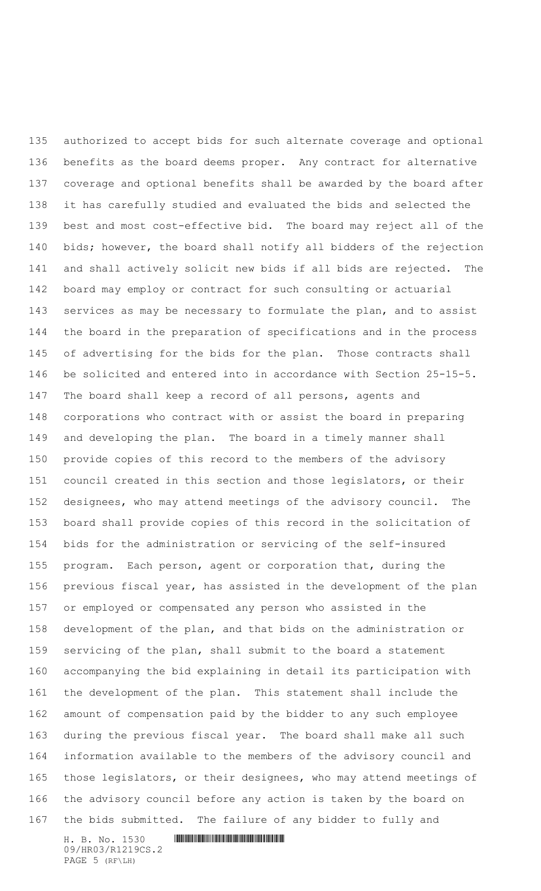H. B. No. 1530 **. HENDER SHELL AND SHELL AND SHELL AND SHELL AND SHELL AND SHELL AND SHELL AND SHELL AND SHELL AND SHELL AND SHELL AND SHELL AND SHELL AND SHELL AND SHELL AND SHELL AND SHELL AND SHELL AND SHELL AND SHELL A**  authorized to accept bids for such alternate coverage and optional benefits as the board deems proper. Any contract for alternative coverage and optional benefits shall be awarded by the board after it has carefully studied and evaluated the bids and selected the best and most cost-effective bid. The board may reject all of the bids; however, the board shall notify all bidders of the rejection and shall actively solicit new bids if all bids are rejected. The board may employ or contract for such consulting or actuarial services as may be necessary to formulate the plan, and to assist the board in the preparation of specifications and in the process of advertising for the bids for the plan. Those contracts shall be solicited and entered into in accordance with Section 25-15-5. The board shall keep a record of all persons, agents and corporations who contract with or assist the board in preparing and developing the plan. The board in a timely manner shall provide copies of this record to the members of the advisory council created in this section and those legislators, or their designees, who may attend meetings of the advisory council. The board shall provide copies of this record in the solicitation of bids for the administration or servicing of the self-insured program. Each person, agent or corporation that, during the previous fiscal year, has assisted in the development of the plan or employed or compensated any person who assisted in the development of the plan, and that bids on the administration or servicing of the plan, shall submit to the board a statement accompanying the bid explaining in detail its participation with the development of the plan. This statement shall include the amount of compensation paid by the bidder to any such employee during the previous fiscal year. The board shall make all such information available to the members of the advisory council and those legislators, or their designees, who may attend meetings of the advisory council before any action is taken by the board on the bids submitted. The failure of any bidder to fully and

09/HR03/R1219CS.2 PAGE 5 (RF\LH)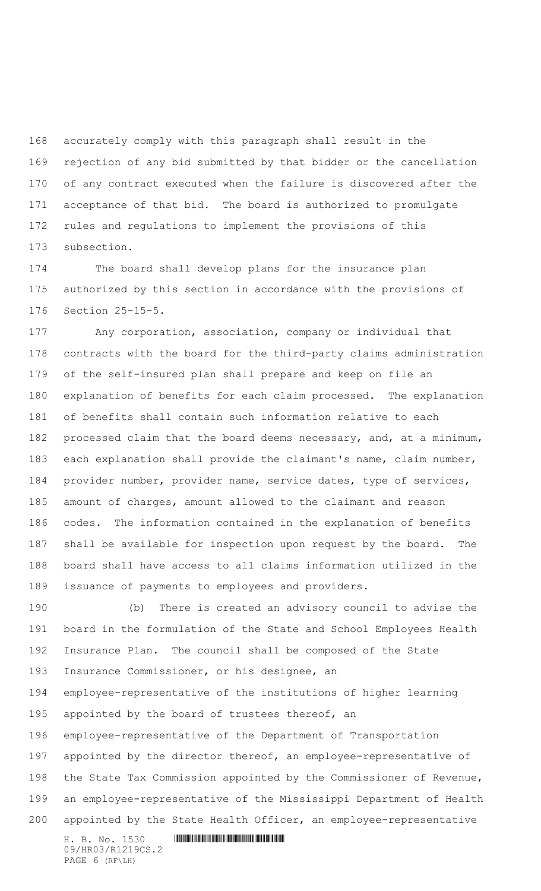accurately comply with this paragraph shall result in the rejection of any bid submitted by that bidder or the cancellation of any contract executed when the failure is discovered after the acceptance of that bid. The board is authorized to promulgate rules and regulations to implement the provisions of this subsection.

 The board shall develop plans for the insurance plan authorized by this section in accordance with the provisions of Section 25-15-5.

 Any corporation, association, company or individual that contracts with the board for the third-party claims administration of the self-insured plan shall prepare and keep on file an explanation of benefits for each claim processed. The explanation of benefits shall contain such information relative to each processed claim that the board deems necessary, and, at a minimum, each explanation shall provide the claimant's name, claim number, provider number, provider name, service dates, type of services, amount of charges, amount allowed to the claimant and reason codes. The information contained in the explanation of benefits shall be available for inspection upon request by the board. The board shall have access to all claims information utilized in the issuance of payments to employees and providers.

H. B. No. 1530 **. HENDER SHELL AND SHELL AND SHELL AND SHELL AND SHELL AND SHELL AND SHELL AND SHELL AND SHELL AND SHELL AND SHELL AND SHELL AND SHELL AND SHELL AND SHELL AND SHELL AND SHELL AND SHELL AND SHELL AND SHELL A**  (b) There is created an advisory council to advise the board in the formulation of the State and School Employees Health Insurance Plan. The council shall be composed of the State Insurance Commissioner, or his designee, an employee-representative of the institutions of higher learning 195 appointed by the board of trustees thereof, an employee-representative of the Department of Transportation 197 appointed by the director thereof, an employee-representative of the State Tax Commission appointed by the Commissioner of Revenue, an employee-representative of the Mississippi Department of Health appointed by the State Health Officer, an employee-representative

09/HR03/R1219CS.2 PAGE 6 (RF\LH)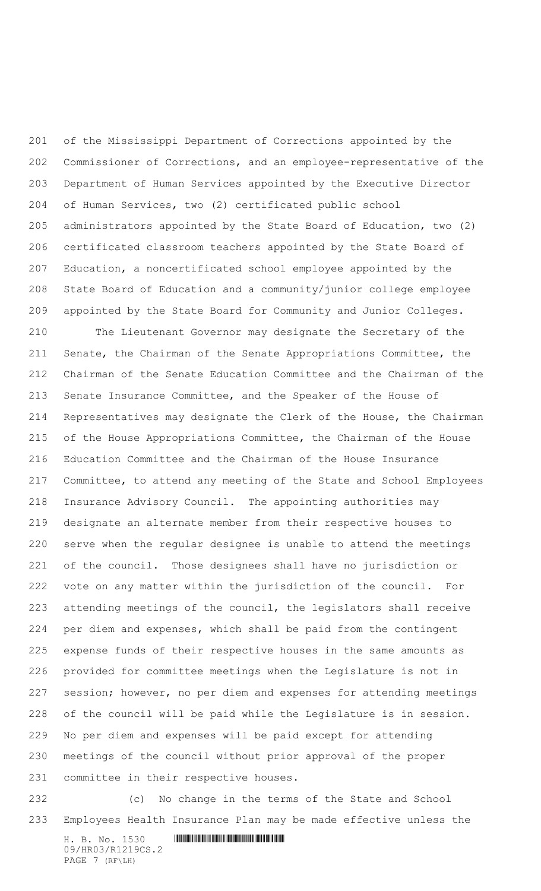of the Mississippi Department of Corrections appointed by the Commissioner of Corrections, and an employee-representative of the Department of Human Services appointed by the Executive Director of Human Services, two (2) certificated public school administrators appointed by the State Board of Education, two (2) certificated classroom teachers appointed by the State Board of Education, a noncertificated school employee appointed by the State Board of Education and a community/junior college employee appointed by the State Board for Community and Junior Colleges. The Lieutenant Governor may designate the Secretary of the Senate, the Chairman of the Senate Appropriations Committee, the Chairman of the Senate Education Committee and the Chairman of the

 Senate Insurance Committee, and the Speaker of the House of Representatives may designate the Clerk of the House, the Chairman of the House Appropriations Committee, the Chairman of the House Education Committee and the Chairman of the House Insurance Committee, to attend any meeting of the State and School Employees Insurance Advisory Council. The appointing authorities may designate an alternate member from their respective houses to serve when the regular designee is unable to attend the meetings of the council. Those designees shall have no jurisdiction or vote on any matter within the jurisdiction of the council. For attending meetings of the council, the legislators shall receive per diem and expenses, which shall be paid from the contingent expense funds of their respective houses in the same amounts as provided for committee meetings when the Legislature is not in session; however, no per diem and expenses for attending meetings of the council will be paid while the Legislature is in session. No per diem and expenses will be paid except for attending meetings of the council without prior approval of the proper committee in their respective houses.

 (c) No change in the terms of the State and School Employees Health Insurance Plan may be made effective unless the

H. B. No. 1530 **. HENDER SHELL AND SHELL AND SHELL AND SHELL AND SHELL AND SHELL AND SHELL AND SHELL AND SHELL AND SHELL AND SHELL AND SHELL AND SHELL AND SHELL AND SHELL AND SHELL AND SHELL AND SHELL AND SHELL AND SHELL A** 09/HR03/R1219CS.2 PAGE 7 (RF\LH)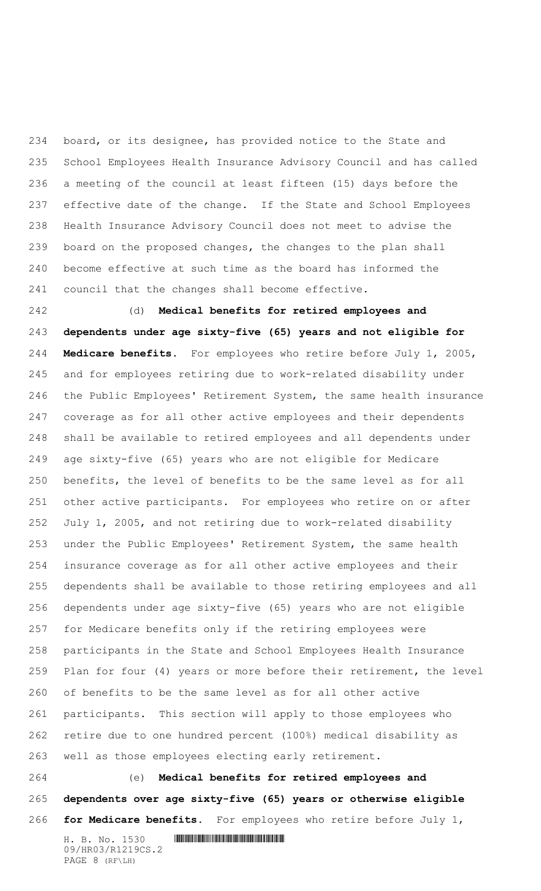board, or its designee, has provided notice to the State and School Employees Health Insurance Advisory Council and has called a meeting of the council at least fifteen (15) days before the effective date of the change. If the State and School Employees Health Insurance Advisory Council does not meet to advise the board on the proposed changes, the changes to the plan shall become effective at such time as the board has informed the council that the changes shall become effective.

 (d) **Medical benefits for retired employees and dependents under age sixty-five (65) years and not eligible for Medicare benefits**. For employees who retire before July 1, 2005, and for employees retiring due to work-related disability under the Public Employees' Retirement System, the same health insurance coverage as for all other active employees and their dependents shall be available to retired employees and all dependents under age sixty-five (65) years who are not eligible for Medicare benefits, the level of benefits to be the same level as for all other active participants. For employees who retire on or after July 1, 2005, and not retiring due to work-related disability under the Public Employees' Retirement System, the same health insurance coverage as for all other active employees and their dependents shall be available to those retiring employees and all dependents under age sixty-five (65) years who are not eligible for Medicare benefits only if the retiring employees were participants in the State and School Employees Health Insurance Plan for four (4) years or more before their retirement, the level of benefits to be the same level as for all other active participants. This section will apply to those employees who retire due to one hundred percent (100%) medical disability as well as those employees electing early retirement.

 (e) **Medical benefits for retired employees and dependents over age sixty-five (65) years or otherwise eligible for Medicare benefits.** For employees who retire before July 1,

H. B. No. 1530 **. HENDER SHELL AND SHELL AND SHELL AND SHELL AND SHELL AND SHELL AND SHELL AND SHELL AND SHELL AND SHELL AND SHELL AND SHELL AND SHELL AND SHELL AND SHELL AND SHELL AND SHELL AND SHELL AND SHELL AND SHELL A** 09/HR03/R1219CS.2 PAGE 8 (RF\LH)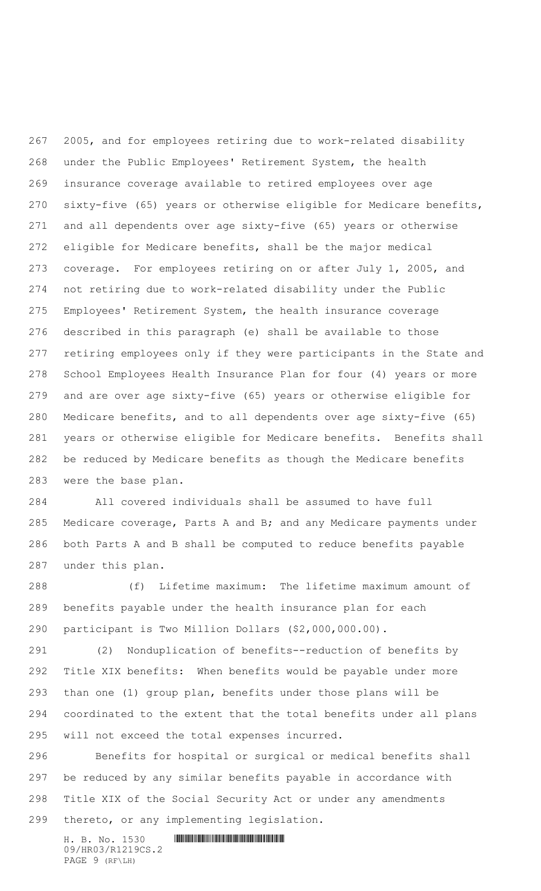2005, and for employees retiring due to work-related disability under the Public Employees' Retirement System, the health insurance coverage available to retired employees over age sixty-five (65) years or otherwise eligible for Medicare benefits, and all dependents over age sixty-five (65) years or otherwise eligible for Medicare benefits, shall be the major medical coverage. For employees retiring on or after July 1, 2005, and not retiring due to work-related disability under the Public Employees' Retirement System, the health insurance coverage described in this paragraph (e) shall be available to those retiring employees only if they were participants in the State and School Employees Health Insurance Plan for four (4) years or more and are over age sixty-five (65) years or otherwise eligible for Medicare benefits, and to all dependents over age sixty-five (65) years or otherwise eligible for Medicare benefits. Benefits shall be reduced by Medicare benefits as though the Medicare benefits were the base plan.

 All covered individuals shall be assumed to have full 285 Medicare coverage, Parts A and B; and any Medicare payments under both Parts A and B shall be computed to reduce benefits payable under this plan.

 (f) Lifetime maximum: The lifetime maximum amount of benefits payable under the health insurance plan for each participant is Two Million Dollars (\$2,000,000.00).

 (2) Nonduplication of benefits--reduction of benefits by Title XIX benefits: When benefits would be payable under more than one (1) group plan, benefits under those plans will be coordinated to the extent that the total benefits under all plans will not exceed the total expenses incurred.

 Benefits for hospital or surgical or medical benefits shall be reduced by any similar benefits payable in accordance with Title XIX of the Social Security Act or under any amendments thereto, or any implementing legislation.

H. B. No. 1530 **. HENDER SHELL AND SHELL AND SHELL AND SHELL AND SHELL AND SHELL AND SHELL AND SHELL AND SHELL AND SHELL AND SHELL AND SHELL AND SHELL AND SHELL AND SHELL AND SHELL AND SHELL AND SHELL AND SHELL AND SHELL A** 09/HR03/R1219CS.2 PAGE 9 (RF\LH)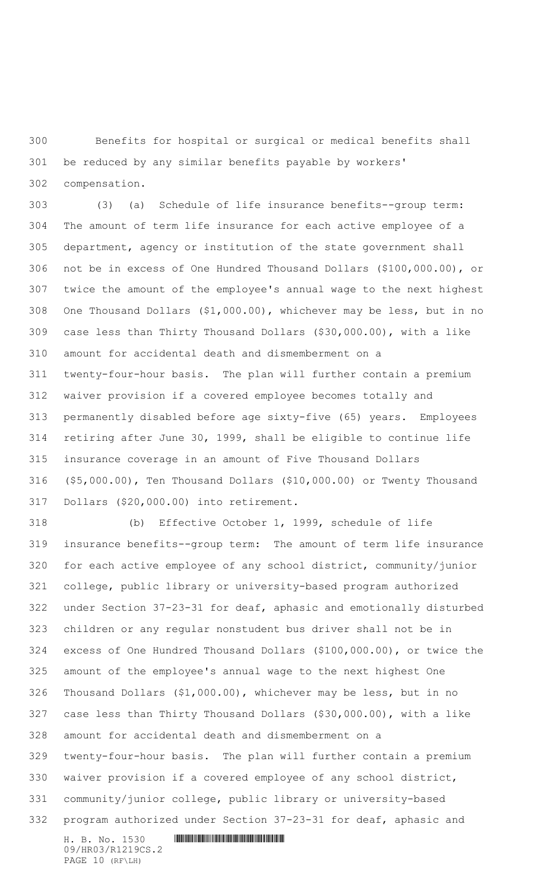Benefits for hospital or surgical or medical benefits shall be reduced by any similar benefits payable by workers'

compensation.

 (3) (a) Schedule of life insurance benefits--group term: The amount of term life insurance for each active employee of a department, agency or institution of the state government shall not be in excess of One Hundred Thousand Dollars (\$100,000.00), or twice the amount of the employee's annual wage to the next highest One Thousand Dollars (\$1,000.00), whichever may be less, but in no case less than Thirty Thousand Dollars (\$30,000.00), with a like amount for accidental death and dismemberment on a twenty-four-hour basis. The plan will further contain a premium waiver provision if a covered employee becomes totally and permanently disabled before age sixty-five (65) years. Employees retiring after June 30, 1999, shall be eligible to continue life insurance coverage in an amount of Five Thousand Dollars (\$5,000.00), Ten Thousand Dollars (\$10,000.00) or Twenty Thousand Dollars (\$20,000.00) into retirement.

H. B. No. 1530 \*HR03/R1219CS.2\* (b) Effective October 1, 1999, schedule of life insurance benefits--group term: The amount of term life insurance for each active employee of any school district, community/junior college, public library or university-based program authorized under Section 37-23-31 for deaf, aphasic and emotionally disturbed children or any regular nonstudent bus driver shall not be in excess of One Hundred Thousand Dollars (\$100,000.00), or twice the amount of the employee's annual wage to the next highest One Thousand Dollars (\$1,000.00), whichever may be less, but in no case less than Thirty Thousand Dollars (\$30,000.00), with a like amount for accidental death and dismemberment on a twenty-four-hour basis. The plan will further contain a premium waiver provision if a covered employee of any school district, community/junior college, public library or university-based program authorized under Section 37-23-31 for deaf, aphasic and

09/HR03/R1219CS.2 PAGE 10 (RF\LH)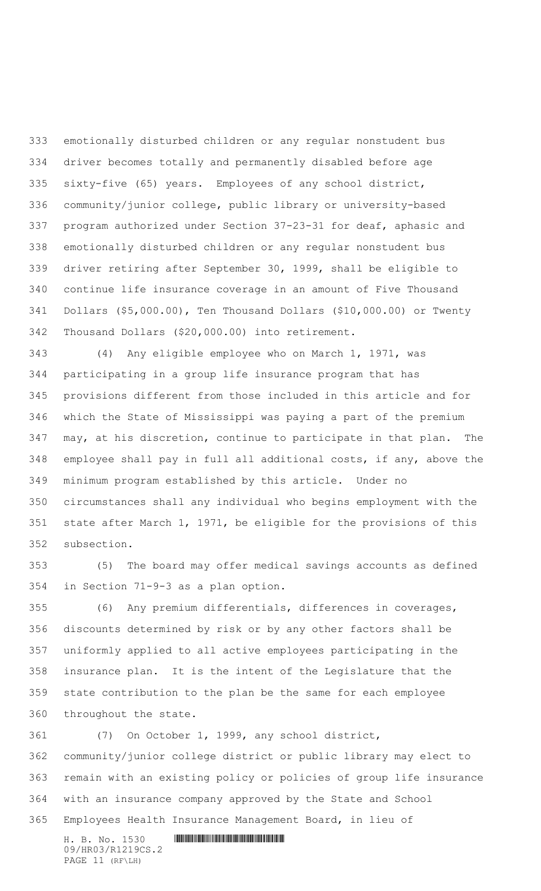emotionally disturbed children or any regular nonstudent bus driver becomes totally and permanently disabled before age sixty-five (65) years. Employees of any school district, community/junior college, public library or university-based program authorized under Section 37-23-31 for deaf, aphasic and emotionally disturbed children or any regular nonstudent bus driver retiring after September 30, 1999, shall be eligible to continue life insurance coverage in an amount of Five Thousand Dollars (\$5,000.00), Ten Thousand Dollars (\$10,000.00) or Twenty Thousand Dollars (\$20,000.00) into retirement.

 (4) Any eligible employee who on March 1, 1971, was participating in a group life insurance program that has provisions different from those included in this article and for which the State of Mississippi was paying a part of the premium may, at his discretion, continue to participate in that plan. The employee shall pay in full all additional costs, if any, above the minimum program established by this article. Under no circumstances shall any individual who begins employment with the state after March 1, 1971, be eligible for the provisions of this subsection.

 (5) The board may offer medical savings accounts as defined in Section 71-9-3 as a plan option.

 (6) Any premium differentials, differences in coverages, discounts determined by risk or by any other factors shall be uniformly applied to all active employees participating in the insurance plan. It is the intent of the Legislature that the state contribution to the plan be the same for each employee throughout the state.

 (7) On October 1, 1999, any school district, community/junior college district or public library may elect to remain with an existing policy or policies of group life insurance with an insurance company approved by the State and School Employees Health Insurance Management Board, in lieu of

H. B. No. 1530 **. HENDER SHELL AND SHELL AND SHELL AND SHELL AND SHELL AND SHELL AND SHELL AND SHELL AND SHELL AND SHELL AND SHELL AND SHELL AND SHELL AND SHELL AND SHELL AND SHELL AND SHELL AND SHELL AND SHELL AND SHELL A** 09/HR03/R1219CS.2 PAGE 11 (RF\LH)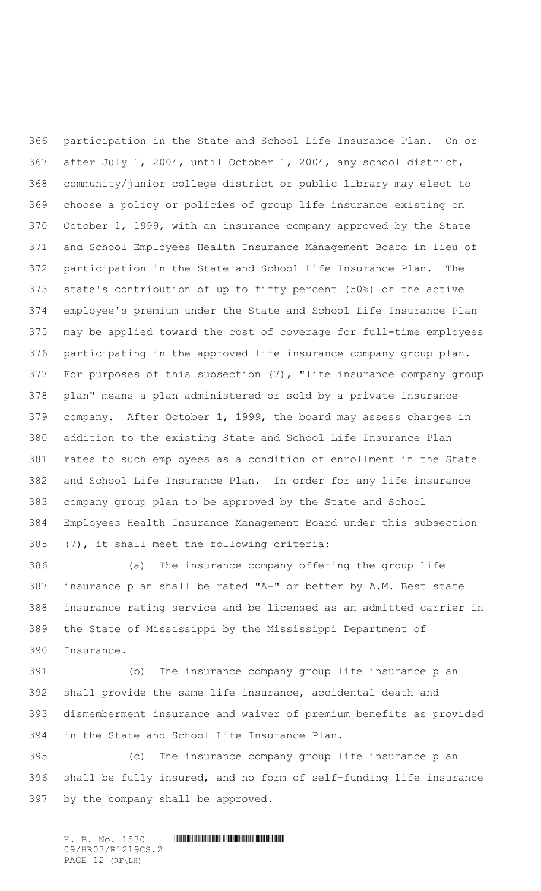participation in the State and School Life Insurance Plan. On or after July 1, 2004, until October 1, 2004, any school district, community/junior college district or public library may elect to choose a policy or policies of group life insurance existing on October 1, 1999, with an insurance company approved by the State and School Employees Health Insurance Management Board in lieu of participation in the State and School Life Insurance Plan. The state's contribution of up to fifty percent (50%) of the active employee's premium under the State and School Life Insurance Plan may be applied toward the cost of coverage for full-time employees participating in the approved life insurance company group plan. For purposes of this subsection (7), "life insurance company group plan" means a plan administered or sold by a private insurance company. After October 1, 1999, the board may assess charges in addition to the existing State and School Life Insurance Plan rates to such employees as a condition of enrollment in the State and School Life Insurance Plan. In order for any life insurance company group plan to be approved by the State and School Employees Health Insurance Management Board under this subsection (7), it shall meet the following criteria:

 (a) The insurance company offering the group life insurance plan shall be rated "A-" or better by A.M. Best state insurance rating service and be licensed as an admitted carrier in the State of Mississippi by the Mississippi Department of Insurance.

 (b) The insurance company group life insurance plan shall provide the same life insurance, accidental death and dismemberment insurance and waiver of premium benefits as provided in the State and School Life Insurance Plan.

 (c) The insurance company group life insurance plan shall be fully insured, and no form of self-funding life insurance by the company shall be approved.

H. B. No. 1530 \*HR03/R1219CS.2\* 09/HR03/R1219CS.2 PAGE 12 (RF\LH)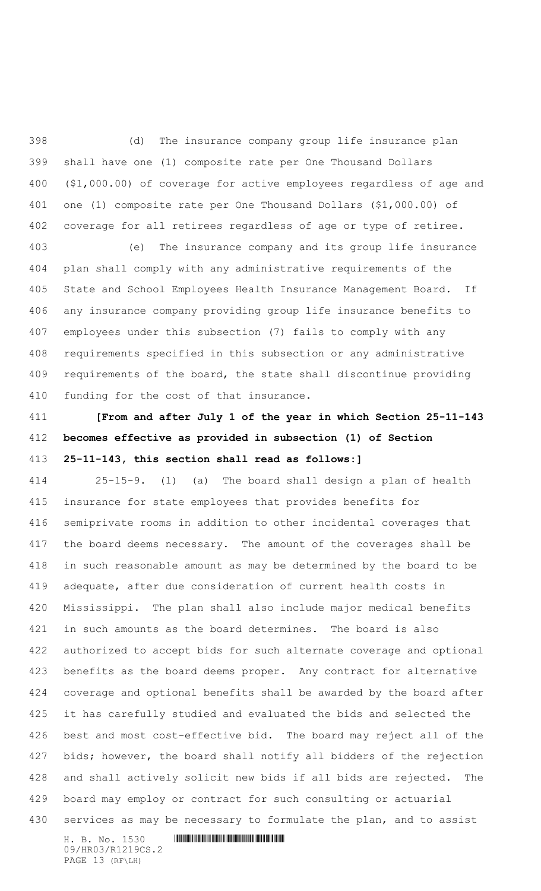(d) The insurance company group life insurance plan shall have one (1) composite rate per One Thousand Dollars (\$1,000.00) of coverage for active employees regardless of age and one (1) composite rate per One Thousand Dollars (\$1,000.00) of coverage for all retirees regardless of age or type of retiree.

 (e) The insurance company and its group life insurance plan shall comply with any administrative requirements of the State and School Employees Health Insurance Management Board. If any insurance company providing group life insurance benefits to employees under this subsection (7) fails to comply with any requirements specified in this subsection or any administrative requirements of the board, the state shall discontinue providing funding for the cost of that insurance.

 **[From and after July 1 of the year in which Section 25-11-143 becomes effective as provided in subsection (1) of Section 25-11-143, this section shall read as follows:]**

 25-15-9. (1) (a) The board shall design a plan of health insurance for state employees that provides benefits for semiprivate rooms in addition to other incidental coverages that the board deems necessary. The amount of the coverages shall be in such reasonable amount as may be determined by the board to be adequate, after due consideration of current health costs in Mississippi. The plan shall also include major medical benefits in such amounts as the board determines. The board is also authorized to accept bids for such alternate coverage and optional benefits as the board deems proper. Any contract for alternative coverage and optional benefits shall be awarded by the board after it has carefully studied and evaluated the bids and selected the best and most cost-effective bid. The board may reject all of the bids; however, the board shall notify all bidders of the rejection and shall actively solicit new bids if all bids are rejected. The board may employ or contract for such consulting or actuarial 430 services as may be necessary to formulate the plan, and to assist

H. B. No. 1530 **. HENDER SHELL AND SHELL AND SHELL AND SHELL AND SHELL AND SHELL AND SHELL AND SHELL AND SHELL AND SHELL AND SHELL AND SHELL AND SHELL AND SHELL AND SHELL AND SHELL AND SHELL AND SHELL AND SHELL AND SHELL A** 09/HR03/R1219CS.2 PAGE 13 (RF\LH)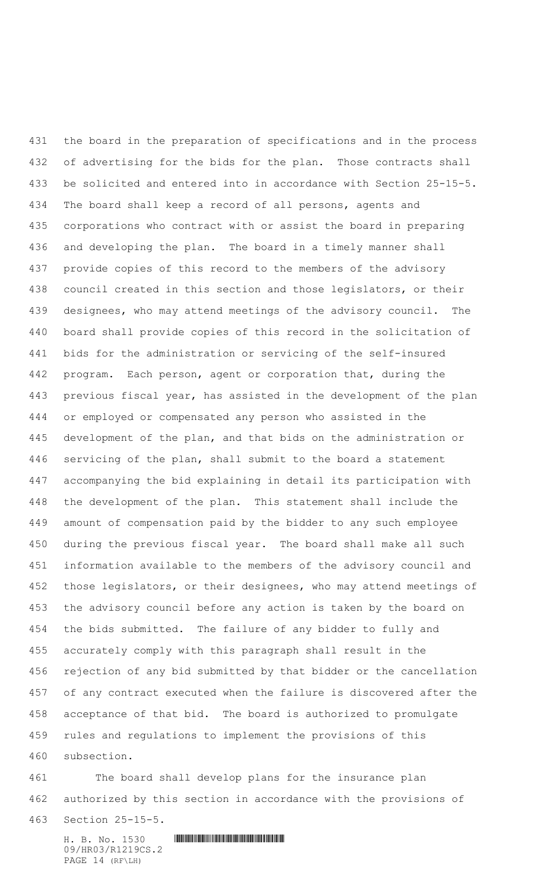the board in the preparation of specifications and in the process of advertising for the bids for the plan. Those contracts shall be solicited and entered into in accordance with Section 25-15-5. The board shall keep a record of all persons, agents and corporations who contract with or assist the board in preparing and developing the plan. The board in a timely manner shall provide copies of this record to the members of the advisory council created in this section and those legislators, or their designees, who may attend meetings of the advisory council. The board shall provide copies of this record in the solicitation of bids for the administration or servicing of the self-insured program. Each person, agent or corporation that, during the previous fiscal year, has assisted in the development of the plan or employed or compensated any person who assisted in the development of the plan, and that bids on the administration or servicing of the plan, shall submit to the board a statement accompanying the bid explaining in detail its participation with the development of the plan. This statement shall include the amount of compensation paid by the bidder to any such employee during the previous fiscal year. The board shall make all such information available to the members of the advisory council and those legislators, or their designees, who may attend meetings of the advisory council before any action is taken by the board on the bids submitted. The failure of any bidder to fully and accurately comply with this paragraph shall result in the rejection of any bid submitted by that bidder or the cancellation of any contract executed when the failure is discovered after the acceptance of that bid. The board is authorized to promulgate rules and regulations to implement the provisions of this subsection.

 The board shall develop plans for the insurance plan authorized by this section in accordance with the provisions of

Section 25-15-5.

09/HR03/R1219CS.2 PAGE 14 (RF\LH)

H. B. No. 1530 \*HR03/R1219CS.2\*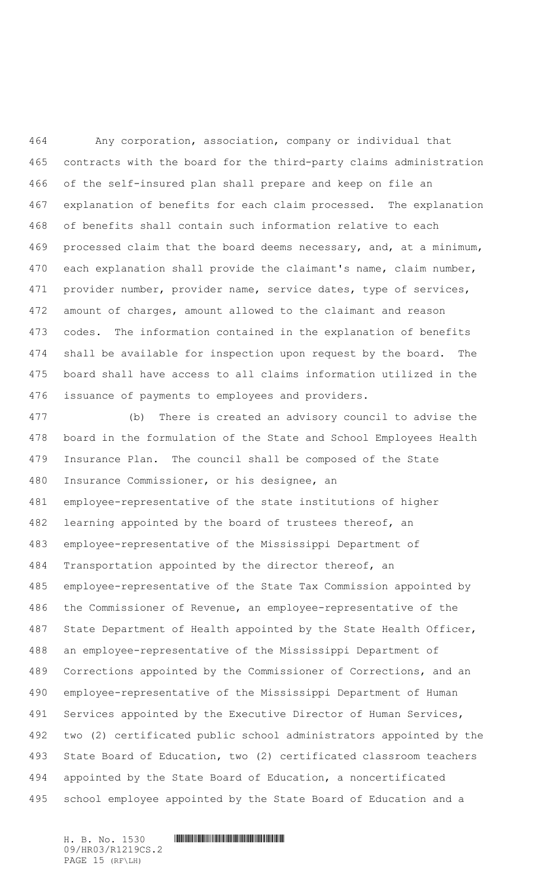Any corporation, association, company or individual that contracts with the board for the third-party claims administration of the self-insured plan shall prepare and keep on file an explanation of benefits for each claim processed. The explanation of benefits shall contain such information relative to each processed claim that the board deems necessary, and, at a minimum, each explanation shall provide the claimant's name, claim number, 471 provider number, provider name, service dates, type of services, amount of charges, amount allowed to the claimant and reason codes. The information contained in the explanation of benefits shall be available for inspection upon request by the board. The board shall have access to all claims information utilized in the issuance of payments to employees and providers.

 (b) There is created an advisory council to advise the board in the formulation of the State and School Employees Health Insurance Plan. The council shall be composed of the State Insurance Commissioner, or his designee, an employee-representative of the state institutions of higher learning appointed by the board of trustees thereof, an employee-representative of the Mississippi Department of Transportation appointed by the director thereof, an employee-representative of the State Tax Commission appointed by the Commissioner of Revenue, an employee-representative of the State Department of Health appointed by the State Health Officer, an employee-representative of the Mississippi Department of Corrections appointed by the Commissioner of Corrections, and an employee-representative of the Mississippi Department of Human Services appointed by the Executive Director of Human Services, two (2) certificated public school administrators appointed by the State Board of Education, two (2) certificated classroom teachers appointed by the State Board of Education, a noncertificated school employee appointed by the State Board of Education and a

09/HR03/R1219CS.2 PAGE 15 (RF\LH)

H. B. No. 1530 \*HR03/R1219CS.2\*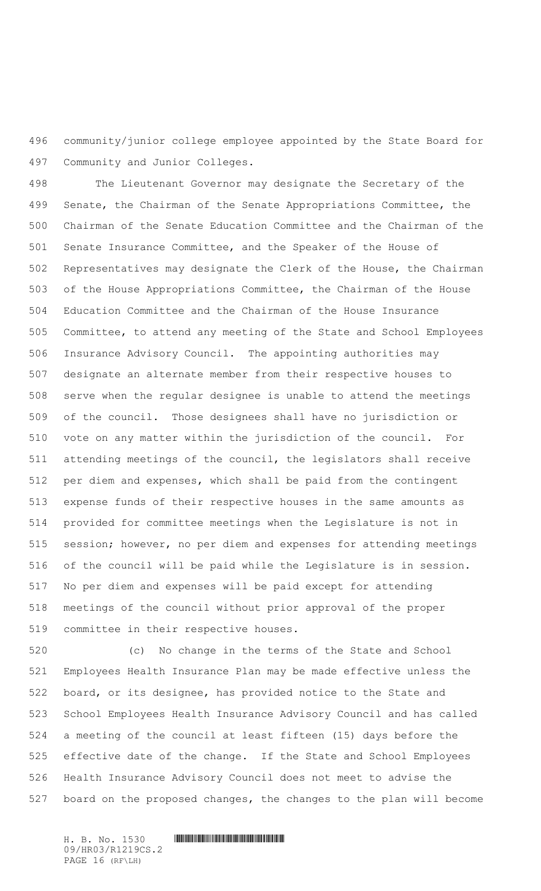community/junior college employee appointed by the State Board for Community and Junior Colleges.

 The Lieutenant Governor may designate the Secretary of the Senate, the Chairman of the Senate Appropriations Committee, the Chairman of the Senate Education Committee and the Chairman of the Senate Insurance Committee, and the Speaker of the House of Representatives may designate the Clerk of the House, the Chairman of the House Appropriations Committee, the Chairman of the House Education Committee and the Chairman of the House Insurance Committee, to attend any meeting of the State and School Employees Insurance Advisory Council. The appointing authorities may designate an alternate member from their respective houses to serve when the regular designee is unable to attend the meetings of the council. Those designees shall have no jurisdiction or vote on any matter within the jurisdiction of the council. For attending meetings of the council, the legislators shall receive per diem and expenses, which shall be paid from the contingent expense funds of their respective houses in the same amounts as provided for committee meetings when the Legislature is not in session; however, no per diem and expenses for attending meetings of the council will be paid while the Legislature is in session. No per diem and expenses will be paid except for attending meetings of the council without prior approval of the proper committee in their respective houses.

 (c) No change in the terms of the State and School Employees Health Insurance Plan may be made effective unless the board, or its designee, has provided notice to the State and School Employees Health Insurance Advisory Council and has called a meeting of the council at least fifteen (15) days before the effective date of the change. If the State and School Employees Health Insurance Advisory Council does not meet to advise the board on the proposed changes, the changes to the plan will become

09/HR03/R1219CS.2 PAGE 16 (RF\LH)

H. B. No. 1530 **. HENDER SHELL AND SHELL AND SHELL AND SHELL AND SHELL AND SHELL AND SHELL AND SHELL AND SHELL AND SHELL AND SHELL AND SHELL AND SHELL AND SHELL AND SHELL AND SHELL AND SHELL AND SHELL AND SHELL AND SHELL A**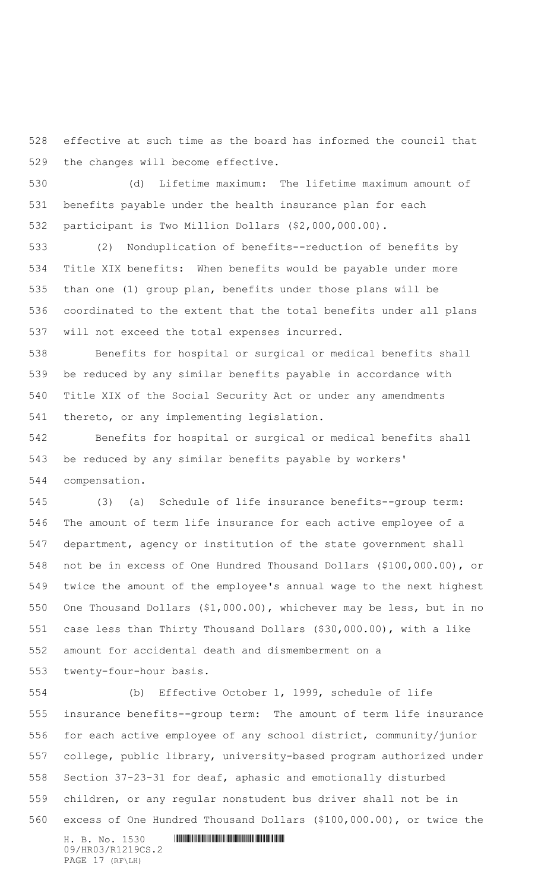effective at such time as the board has informed the council that the changes will become effective.

 (d) Lifetime maximum: The lifetime maximum amount of benefits payable under the health insurance plan for each participant is Two Million Dollars (\$2,000,000.00).

 (2) Nonduplication of benefits--reduction of benefits by Title XIX benefits: When benefits would be payable under more than one (1) group plan, benefits under those plans will be coordinated to the extent that the total benefits under all plans will not exceed the total expenses incurred.

 Benefits for hospital or surgical or medical benefits shall be reduced by any similar benefits payable in accordance with Title XIX of the Social Security Act or under any amendments thereto, or any implementing legislation.

 Benefits for hospital or surgical or medical benefits shall be reduced by any similar benefits payable by workers' compensation.

 (3) (a) Schedule of life insurance benefits--group term: The amount of term life insurance for each active employee of a department, agency or institution of the state government shall not be in excess of One Hundred Thousand Dollars (\$100,000.00), or twice the amount of the employee's annual wage to the next highest One Thousand Dollars (\$1,000.00), whichever may be less, but in no case less than Thirty Thousand Dollars (\$30,000.00), with a like amount for accidental death and dismemberment on a

twenty-four-hour basis.

 (b) Effective October 1, 1999, schedule of life insurance benefits--group term: The amount of term life insurance for each active employee of any school district, community/junior college, public library, university-based program authorized under Section 37-23-31 for deaf, aphasic and emotionally disturbed children, or any regular nonstudent bus driver shall not be in excess of One Hundred Thousand Dollars (\$100,000.00), or twice the

09/HR03/R1219CS.2 PAGE 17 (RF\LH)

H. B. No. 1530 **. HENDER SHELL AND SHELL AND SHELL AND SHELL AND SHELL AND SHELL AND SHELL AND SHELL AND SHELL AND SHELL AND SHELL AND SHELL AND SHELL AND SHELL AND SHELL AND SHELL AND SHELL AND SHELL AND SHELL AND SHELL A**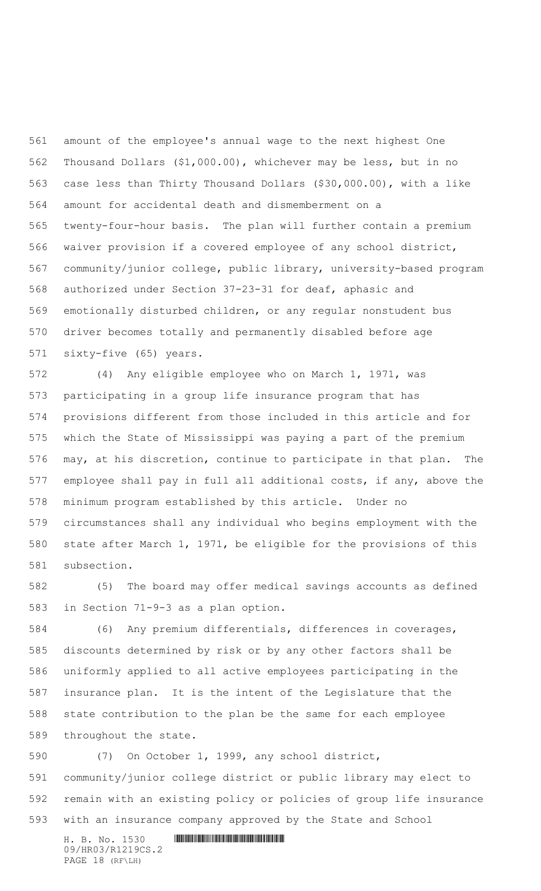amount of the employee's annual wage to the next highest One Thousand Dollars (\$1,000.00), whichever may be less, but in no case less than Thirty Thousand Dollars (\$30,000.00), with a like amount for accidental death and dismemberment on a twenty-four-hour basis. The plan will further contain a premium waiver provision if a covered employee of any school district, community/junior college, public library, university-based program authorized under Section 37-23-31 for deaf, aphasic and emotionally disturbed children, or any regular nonstudent bus driver becomes totally and permanently disabled before age sixty-five (65) years.

 (4) Any eligible employee who on March 1, 1971, was participating in a group life insurance program that has provisions different from those included in this article and for which the State of Mississippi was paying a part of the premium may, at his discretion, continue to participate in that plan. The employee shall pay in full all additional costs, if any, above the minimum program established by this article. Under no circumstances shall any individual who begins employment with the state after March 1, 1971, be eligible for the provisions of this subsection.

 (5) The board may offer medical savings accounts as defined in Section 71-9-3 as a plan option.

 (6) Any premium differentials, differences in coverages, discounts determined by risk or by any other factors shall be uniformly applied to all active employees participating in the insurance plan. It is the intent of the Legislature that the state contribution to the plan be the same for each employee throughout the state.

 (7) On October 1, 1999, any school district, community/junior college district or public library may elect to remain with an existing policy or policies of group life insurance with an insurance company approved by the State and School

H. B. No. 1530 \*HR03/R1219CS.2\* 09/HR03/R1219CS.2 PAGE 18 (RF\LH)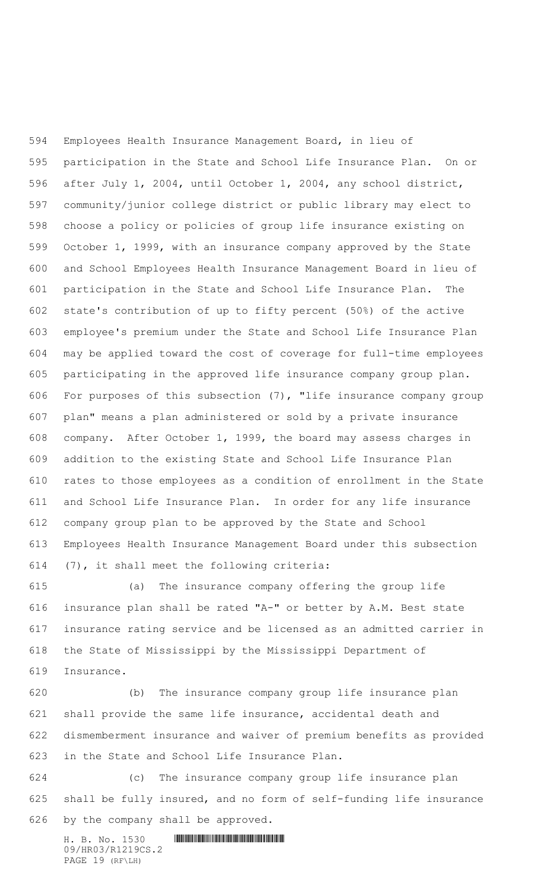Employees Health Insurance Management Board, in lieu of participation in the State and School Life Insurance Plan. On or after July 1, 2004, until October 1, 2004, any school district, community/junior college district or public library may elect to choose a policy or policies of group life insurance existing on October 1, 1999, with an insurance company approved by the State and School Employees Health Insurance Management Board in lieu of participation in the State and School Life Insurance Plan. The state's contribution of up to fifty percent (50%) of the active employee's premium under the State and School Life Insurance Plan may be applied toward the cost of coverage for full-time employees participating in the approved life insurance company group plan. For purposes of this subsection (7), "life insurance company group plan" means a plan administered or sold by a private insurance company. After October 1, 1999, the board may assess charges in addition to the existing State and School Life Insurance Plan rates to those employees as a condition of enrollment in the State and School Life Insurance Plan. In order for any life insurance company group plan to be approved by the State and School Employees Health Insurance Management Board under this subsection (7), it shall meet the following criteria:

 (a) The insurance company offering the group life insurance plan shall be rated "A-" or better by A.M. Best state insurance rating service and be licensed as an admitted carrier in the State of Mississippi by the Mississippi Department of Insurance.

 (b) The insurance company group life insurance plan shall provide the same life insurance, accidental death and dismemberment insurance and waiver of premium benefits as provided in the State and School Life Insurance Plan.

 (c) The insurance company group life insurance plan shall be fully insured, and no form of self-funding life insurance by the company shall be approved.

H. B. No. 1530 **. HENDER SHELL AND SHELL AND SHELL AND SHELL AND SHELL AND SHELL AND SHELL AND SHELL AND SHELL AND SHELL AND SHELL AND SHELL AND SHELL AND SHELL AND SHELL AND SHELL AND SHELL AND SHELL AND SHELL AND SHELL A** 09/HR03/R1219CS.2 PAGE 19 (RF\LH)